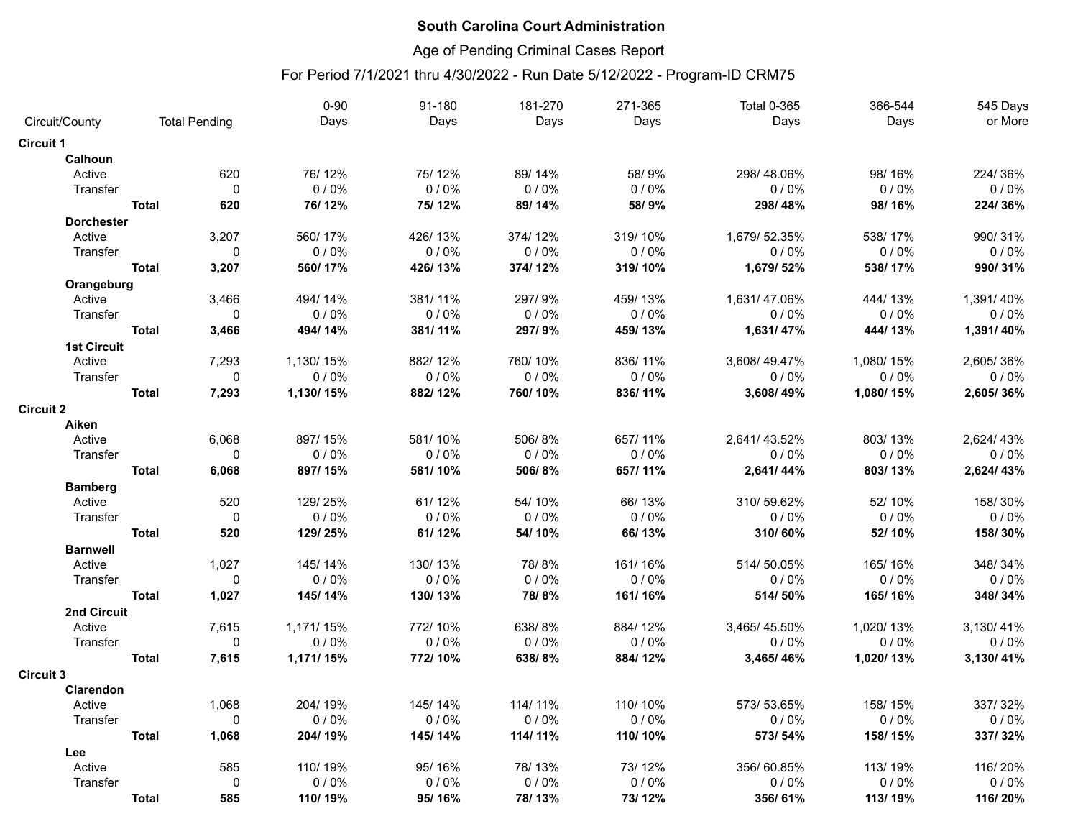# Age of Pending Criminal Cases Report

|                    |              |                      | $0 - 90$  | 91-180  | 181-270 | 271-365 | <b>Total 0-365</b> | 366-544   | 545 Days  |
|--------------------|--------------|----------------------|-----------|---------|---------|---------|--------------------|-----------|-----------|
| Circuit/County     |              | <b>Total Pending</b> | Days      | Days    | Days    | Days    | Days               | Days      | or More   |
| <b>Circuit 1</b>   |              |                      |           |         |         |         |                    |           |           |
| Calhoun            |              |                      |           |         |         |         |                    |           |           |
| Active             |              | 620                  | 76/12%    | 75/12%  | 89/14%  | 58/9%   | 298/48.06%         | 98/16%    | 224/36%   |
| Transfer           |              | $\mathbf 0$          | 0/0%      | 0/0%    | 0/0%    | 0/0%    | 0/0%               | 0/0%      | 0/0%      |
|                    | <b>Total</b> | 620                  | 76/12%    | 75/12%  | 89/14%  | 58/9%   | 298/48%            | 98/16%    | 224/36%   |
| <b>Dorchester</b>  |              |                      |           |         |         |         |                    |           |           |
| Active             |              | 3,207                | 560/17%   | 426/13% | 374/12% | 319/10% | 1,679/52.35%       | 538/17%   | 990/31%   |
| Transfer           |              | $\mathbf 0$          | 0/0%      | 0/0%    | 0/0%    | 0/0%    | 0/0%               | 0/0%      | 0/0%      |
|                    | <b>Total</b> | 3,207                | 560/17%   | 426/13% | 374/12% | 319/10% | 1,679/52%          | 538/17%   | 990/31%   |
| Orangeburg         |              |                      |           |         |         |         |                    |           |           |
| Active             |              | 3,466                | 494/14%   | 381/11% | 297/9%  | 459/13% | 1,631/47.06%       | 444/13%   | 1,391/40% |
| Transfer           |              | $\mathbf 0$          | 0/0%      | 0/0%    | 0/0%    | 0/0%    | 0/0%               | 0/0%      | 0/0%      |
|                    | <b>Total</b> | 3,466                | 494/14%   | 381/11% | 297/9%  | 459/13% | 1,631/47%          | 444/13%   | 1,391/40% |
| <b>1st Circuit</b> |              |                      |           |         |         |         |                    |           |           |
| Active             |              | 7,293                | 1,130/15% | 882/12% | 760/10% | 836/11% | 3,608/49.47%       | 1,080/15% | 2,605/36% |
| Transfer           |              | 0                    | 0/0%      | 0/0%    | 0/0%    | 0/0%    | 0/0%               | 0/0%      | 0/0%      |
|                    | <b>Total</b> | 7,293                | 1,130/15% | 882/12% | 760/10% | 836/11% | 3,608/49%          | 1,080/15% | 2,605/36% |
| <b>Circuit 2</b>   |              |                      |           |         |         |         |                    |           |           |
| Aiken              |              |                      |           |         |         |         |                    |           |           |
| Active             |              | 6,068                | 897/15%   | 581/10% | 506/8%  | 657/11% | 2,641/43.52%       | 803/13%   | 2,624/43% |
| Transfer           |              | $\mathbf{0}$         | 0/0%      | 0/0%    | 0/0%    | 0/0%    | 0/0%               | $0/0\%$   | 0/0%      |
|                    | <b>Total</b> | 6,068                | 897/15%   | 581/10% | 506/8%  | 657/11% | 2,641/44%          | 803/13%   | 2,624/43% |
| <b>Bamberg</b>     |              |                      |           |         |         |         |                    |           |           |
| Active             |              | 520                  | 129/25%   | 61/12%  | 54/10%  | 66/13%  | 310/59.62%         | 52/10%    | 158/30%   |
| Transfer           |              | $\mathbf 0$          | 0/0%      | 0/0%    | 0/0%    | 0/0%    | 0/0%               | 0/0%      | 0/0%      |
|                    | <b>Total</b> | 520                  | 129/25%   | 61/12%  | 54/10%  | 66/13%  | 310/60%            | 52/10%    | 158/30%   |
| <b>Barnwell</b>    |              |                      |           |         |         |         |                    |           |           |
| Active             |              | 1,027                | 145/14%   | 130/13% | 78/8%   | 161/16% | 514/50.05%         | 165/16%   | 348/34%   |
| Transfer           |              | $\pmb{0}$            | 0/0%      | 0/0%    | 0/0%    | 0/0%    | 0/0%               | $0/0\%$   | 0/0%      |
|                    | <b>Total</b> | 1,027                | 145/14%   | 130/13% | 78/8%   | 161/16% | 514/50%            | 165/16%   | 348/34%   |
| 2nd Circuit        |              |                      |           |         |         |         |                    |           |           |
| Active             |              | 7,615                | 1,171/15% | 772/10% | 638/8%  | 884/12% | 3,465/45.50%       | 1,020/13% | 3,130/41% |
| Transfer           |              | $\Omega$             | 0/0%      | 0/0%    | 0/0%    | 0/0%    | 0/0%               | 0/0%      | 0/0%      |
|                    | <b>Total</b> | 7,615                | 1,171/15% | 772/10% | 638/8%  | 884/12% | 3,465/46%          | 1,020/13% | 3,130/41% |
| <b>Circuit 3</b>   |              |                      |           |         |         |         |                    |           |           |
| Clarendon          |              |                      |           |         |         |         |                    |           |           |
| Active             |              | 1,068                | 204/19%   | 145/14% | 114/11% | 110/10% | 573/53.65%         | 158/15%   | 337/32%   |
| Transfer           |              | $\mathbf 0$          | 0/0%      | 0/0%    | 0/0%    | 0/0%    | 0/0%               | 0/0%      | 0/0%      |
|                    | <b>Total</b> | 1,068                | 204/19%   | 145/14% | 114/11% | 110/10% | 573/54%            | 158/15%   | 337/32%   |
| Lee                |              |                      |           |         |         |         |                    |           |           |
| Active             |              | 585                  | 110/19%   | 95/16%  | 78/13%  | 73/12%  | 356/60.85%         | 113/19%   | 116/20%   |
| Transfer           |              | $\mathbf 0$          | 0/0%      | 0/0%    | 0/0%    | 0/0%    | $0/0\%$            | 0/0%      | 0/0%      |
|                    | <b>Total</b> | 585                  | 110/19%   | 95/16%  | 78/13%  | 73/12%  | 356/61%            | 113/19%   | 116/20%   |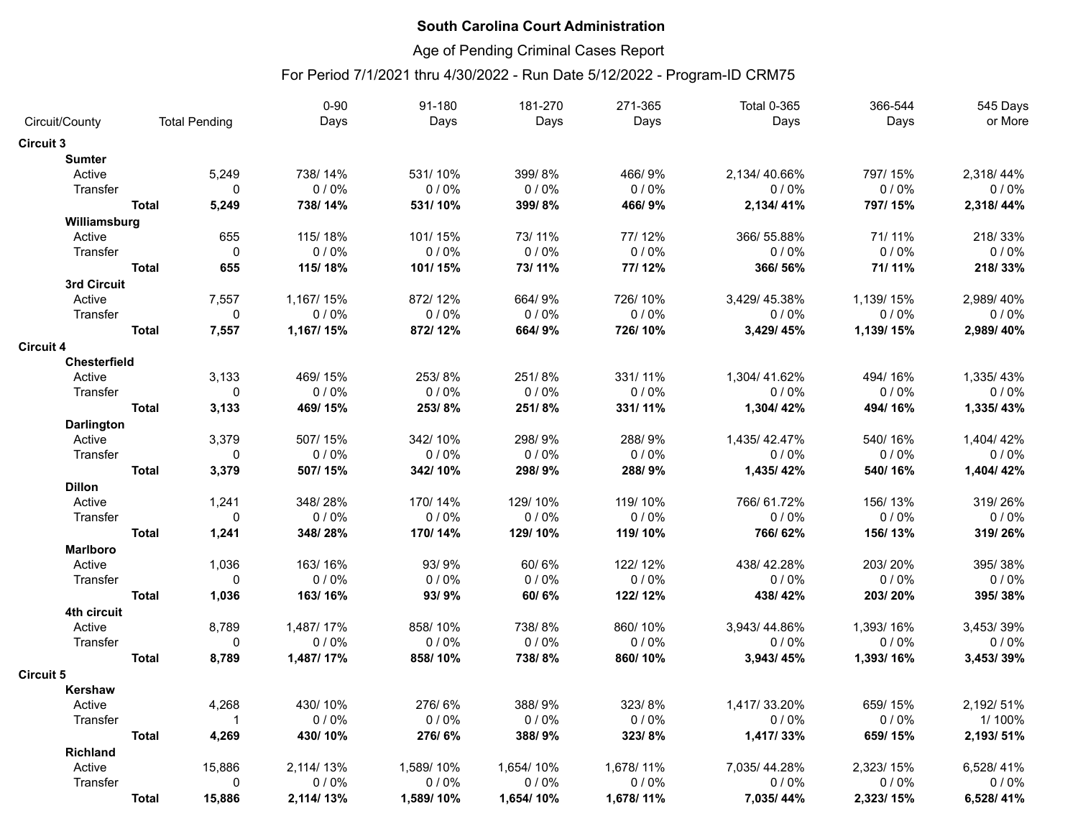# Age of Pending Criminal Cases Report

|                             |              |                      | $0 - 90$  | 91-180    | 181-270   | 271-365   | <b>Total 0-365</b> | 366-544   | 545 Days  |
|-----------------------------|--------------|----------------------|-----------|-----------|-----------|-----------|--------------------|-----------|-----------|
| Circuit/County              |              | <b>Total Pending</b> | Days      | Days      | Days      | Days      | Days               | Days      | or More   |
| <b>Circuit 3</b>            |              |                      |           |           |           |           |                    |           |           |
| <b>Sumter</b>               |              |                      |           |           |           |           |                    |           |           |
| Active                      |              | 5,249                | 738/14%   | 531/10%   | 399/8%    | 466/9%    | 2,134/40.66%       | 797/15%   | 2,318/44% |
| Transfer                    |              | $\Omega$             | 0/0%      | 0/0%      | 0/0%      | 0/0%      | 0/0%               | 0/0%      | 0/0%      |
|                             | <b>Total</b> | 5,249                | 738/14%   | 531/10%   | 399/8%    | 466/9%    | 2,134/41%          | 797/15%   | 2,318/44% |
| Williamsburg                |              |                      |           |           |           |           |                    |           |           |
| Active                      |              | 655                  | 115/18%   | 101/15%   | 73/11%    | 77/12%    | 366/55.88%         | 71/11%    | 218/33%   |
| Transfer                    |              | $\mathbf 0$          | 0/0%      | 0/0%      | 0/0%      | 0/0%      | 0/0%               | 0/0%      | $0/0\%$   |
|                             | <b>Total</b> | 655                  | 115/18%   | 101/15%   | 73/11%    | 77/12%    | 366/56%            | 71/11%    | 218/33%   |
| 3rd Circuit                 |              |                      |           |           |           |           |                    |           |           |
| Active                      |              | 7,557                | 1,167/15% | 872/12%   | 664/9%    | 726/10%   | 3,429/45.38%       | 1,139/15% | 2,989/40% |
| Transfer                    |              | $\mathbf 0$          | 0/0%      | 0/0%      | 0/0%      | 0/0%      | 0/0%               | 0/0%      | 0/0%      |
|                             | <b>Total</b> | 7,557                | 1,167/15% | 872/12%   | 664/9%    | 726/10%   | 3,429/45%          | 1,139/15% | 2,989/40% |
| <b>Circuit 4</b>            |              |                      |           |           |           |           |                    |           |           |
| Chesterfield                |              |                      |           |           |           |           |                    |           |           |
| Active                      |              | 3,133                | 469/15%   | 253/8%    | 251/8%    | 331/11%   | 1,304/41.62%       | 494/16%   | 1,335/43% |
| Transfer                    |              | $\mathbf 0$          | 0/0%      | 0/0%      | 0/0%      | 0/0%      | 0/0%               | 0/0%      | 0/0%      |
|                             | <b>Total</b> | 3,133                | 469/15%   | 253/8%    | 251/8%    | 331/11%   | 1,304/42%          | 494/16%   | 1,335/43% |
|                             |              |                      |           |           |           |           |                    |           |           |
| <b>Darlington</b><br>Active |              | 3,379                | 507/15%   | 342/10%   | 298/9%    | 288/9%    | 1,435/42.47%       | 540/16%   | 1,404/42% |
| Transfer                    |              | $\Omega$             | 0/0%      | 0/0%      | 0/0%      | 0/0%      | 0/0%               | 0/0%      | 0/0%      |
|                             | <b>Total</b> | 3,379                | 507/15%   |           | 298/9%    | 288/9%    | 1,435/42%          | 540/16%   | 1,404/42% |
|                             |              |                      |           | 342/10%   |           |           |                    |           |           |
| <b>Dillon</b>               |              |                      |           |           |           |           |                    |           |           |
| Active                      |              | 1,241                | 348/28%   | 170/14%   | 129/10%   | 119/10%   | 766/61.72%         | 156/13%   | 319/26%   |
| Transfer                    |              | $\mathbf 0$          | 0/0%      | 0/0%      | 0/0%      | 0/0%      | 0/0%               | 0/0%      | 0/0%      |
|                             | <b>Total</b> | 1,241                | 348/28%   | 170/14%   | 129/10%   | 119/10%   | 766/62%            | 156/13%   | 319/26%   |
| <b>Marlboro</b>             |              |                      |           |           |           |           |                    |           |           |
| Active                      |              | 1,036                | 163/16%   | 93/9%     | 60/6%     | 122/12%   | 438/42.28%         | 203/20%   | 395/38%   |
| Transfer                    |              | $\mathbf 0$          | 0/0%      | 0/0%      | 0/0%      | 0/0%      | 0/0%               | 0/0%      | $0/0\%$   |
|                             | <b>Total</b> | 1,036                | 163/16%   | 93/9%     | 60/6%     | 122/12%   | 438/42%            | 203/20%   | 395/38%   |
| 4th circuit                 |              |                      |           |           |           |           |                    |           |           |
| Active                      |              | 8,789                | 1,487/17% | 858/10%   | 738/8%    | 860/10%   | 3,943/44.86%       | 1,393/16% | 3,453/39% |
| Transfer                    |              | $\Omega$             | 0/0%      | 0/0%      | 0/0%      | 0/0%      | 0/0%               | 0/0%      | 0/0%      |
|                             | <b>Total</b> | 8,789                | 1,487/17% | 858/10%   | 738/8%    | 860/10%   | 3,943/45%          | 1,393/16% | 3,453/39% |
| <b>Circuit 5</b>            |              |                      |           |           |           |           |                    |           |           |
| Kershaw                     |              |                      |           |           |           |           |                    |           |           |
| Active                      |              | 4,268                | 430/10%   | 276/6%    | 388/9%    | 323/8%    | 1,417/33.20%       | 659/15%   | 2,192/51% |
| Transfer                    |              | $\mathbf{1}$         | 0/0%      | 0/0%      | 0/0%      | 0/0%      | 0/0%               | 0/0%      | 1/100%    |
|                             | <b>Total</b> | 4,269                | 430/10%   | 276/6%    | 388/9%    | 323/8%    | 1,417/33%          | 659/15%   | 2,193/51% |
| <b>Richland</b>             |              |                      |           |           |           |           |                    |           |           |
| Active                      |              | 15,886               | 2,114/13% | 1,589/10% | 1,654/10% | 1,678/11% | 7,035/44.28%       | 2,323/15% | 6,528/41% |
| Transfer                    |              | $\mathbf 0$          | 0/0%      | 0/0%      | 0/0%      | 0/0%      | 0/0%               | 0/0%      | $0/0\%$   |
|                             | <b>Total</b> | 15,886               | 2,114/13% | 1,589/10% | 1,654/10% | 1,678/11% | 7,035/44%          | 2,323/15% | 6,528/41% |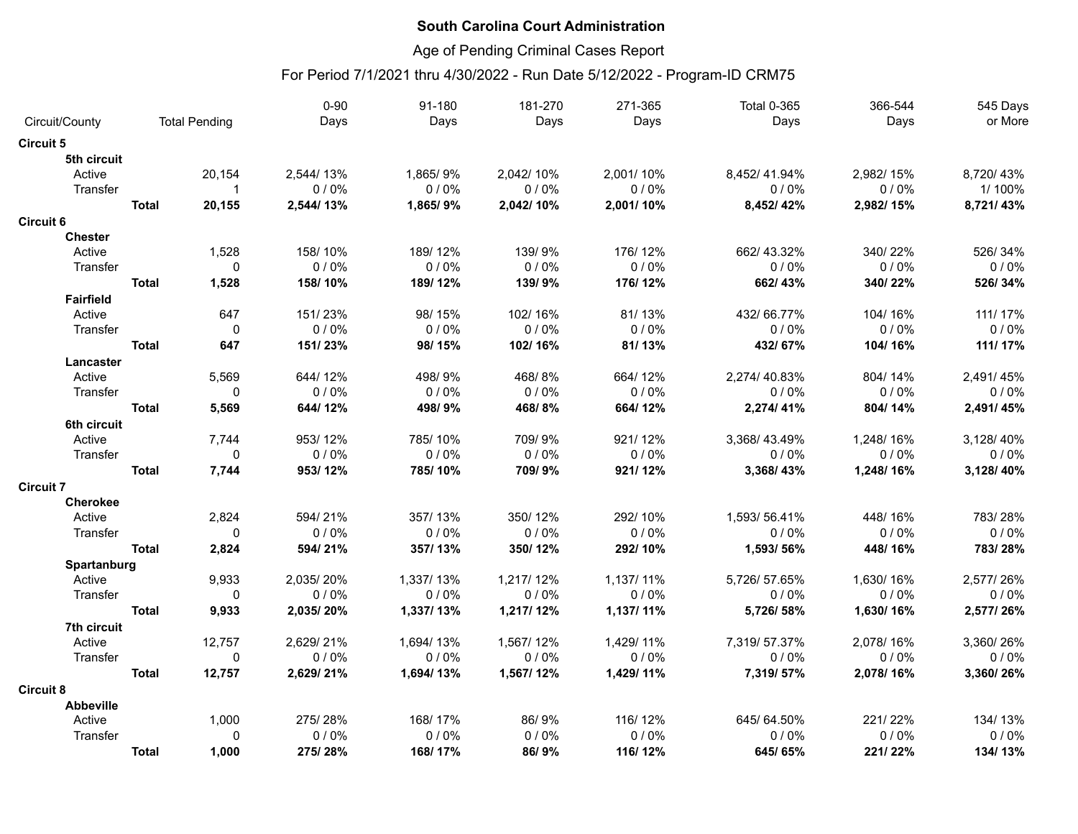# Age of Pending Criminal Cases Report

|                  |              |                      | $0 - 90$  | 91-180    | 181-270   | 271-365   | <b>Total 0-365</b> | 366-544   | 545 Days  |
|------------------|--------------|----------------------|-----------|-----------|-----------|-----------|--------------------|-----------|-----------|
| Circuit/County   |              | <b>Total Pending</b> | Days      | Days      | Days      | Days      | Days               | Days      | or More   |
| <b>Circuit 5</b> |              |                      |           |           |           |           |                    |           |           |
| 5th circuit      |              |                      |           |           |           |           |                    |           |           |
| Active           |              | 20,154               | 2,544/13% | 1,865/9%  | 2,042/10% | 2,001/10% | 8,452/41.94%       | 2,982/15% | 8,720/43% |
| Transfer         |              | $\mathbf 1$          | 0/0%      | 0/0%      | 0/0%      | 0/0%      | 0/0%               | 0/0%      | 1/100%    |
|                  | <b>Total</b> | 20,155               | 2,544/13% | 1,865/9%  | 2,042/10% | 2,001/10% | 8,452/42%          | 2,982/15% | 8,721/43% |
| <b>Circuit 6</b> |              |                      |           |           |           |           |                    |           |           |
| <b>Chester</b>   |              |                      |           |           |           |           |                    |           |           |
| Active           |              | 1,528                | 158/10%   | 189/12%   | 139/9%    | 176/12%   | 662/43.32%         | 340/22%   | 526/34%   |
| Transfer         |              | $\Omega$             | $0/0\%$   | 0/0%      | 0/0%      | 0/0%      | 0/0%               | $0/0\%$   | 0/0%      |
|                  | <b>Total</b> | 1,528                | 158/10%   | 189/12%   | 139/9%    | 176/12%   | 662/43%            | 340/22%   | 526/34%   |
| <b>Fairfield</b> |              |                      |           |           |           |           |                    |           |           |
| Active           |              | 647                  | 151/23%   | 98/15%    | 102/16%   | 81/13%    | 432/66.77%         | 104/16%   | 111/17%   |
| Transfer         |              | 0                    | 0/0%      | 0/0%      | 0/0%      | 0/0%      | $0/0\%$            | $0/0\%$   | $0/0\%$   |
|                  | <b>Total</b> | 647                  | 151/23%   | 98/15%    | 102/16%   | 81/13%    | 432/67%            | 104/16%   | 111/17%   |
| Lancaster        |              |                      |           |           |           |           |                    |           |           |
| Active           |              | 5,569                | 644/12%   | 498/9%    | 468/8%    | 664/12%   | 2,274/40.83%       | 804/14%   | 2,491/45% |
| Transfer         |              | $\Omega$             | 0/0%      | 0/0%      | 0/0%      | 0/0%      | $0/0\%$            | 0/0%      | 0/0%      |
|                  | <b>Total</b> | 5,569                | 644/12%   | 498/9%    | 468/8%    | 664/12%   | 2,274/41%          | 804/14%   | 2,491/45% |
| 6th circuit      |              |                      |           |           |           |           |                    |           |           |
| Active           |              | 7,744                | 953/12%   | 785/10%   | 709/9%    | 921/12%   | 3,368/43.49%       | 1,248/16% | 3,128/40% |
| Transfer         |              | $\mathbf 0$          | 0/0%      | 0/0%      | 0/0%      | 0/0%      | 0/0%               | 0/0%      | 0/0%      |
|                  | <b>Total</b> | 7,744                | 953/12%   | 785/10%   | 709/9%    | 921/12%   | 3,368/43%          | 1,248/16% | 3,128/40% |
| <b>Circuit 7</b> |              |                      |           |           |           |           |                    |           |           |
| <b>Cherokee</b>  |              |                      |           |           |           |           |                    |           |           |
| Active           |              | 2,824                | 594/21%   | 357/13%   | 350/12%   | 292/10%   | 1,593/56.41%       | 448/16%   | 783/28%   |
| Transfer         |              | $\Omega$             | 0/0%      | 0/0%      | 0/0%      | 0/0%      | 0/0%               | 0/0%      | 0/0%      |
|                  | <b>Total</b> | 2,824                | 594/21%   | 357/13%   | 350/12%   | 292/10%   | 1,593/56%          | 448/16%   | 783/28%   |
| Spartanburg      |              |                      |           |           |           |           |                    |           |           |
| Active           |              | 9,933                | 2,035/20% | 1,337/13% | 1,217/12% | 1,137/11% | 5,726/57.65%       | 1,630/16% | 2,577/26% |
| Transfer         |              | $\Omega$             | 0/0%      | 0/0%      | 0/0%      | 0/0%      | 0/0%               | 0/0%      | 0/0%      |
|                  | <b>Total</b> | 9,933                | 2,035/20% | 1,337/13% | 1,217/12% | 1,137/11% | 5,726/58%          | 1,630/16% | 2,577/26% |
| 7th circuit      |              |                      |           |           |           |           |                    |           |           |
| Active           |              | 12,757               | 2,629/21% | 1,694/13% | 1,567/12% | 1,429/11% | 7,319/57.37%       | 2,078/16% | 3,360/26% |
| Transfer         |              | 0                    | 0/0%      | 0/0%      | 0/0%      | 0/0%      | 0/0%               | 0/0%      | 0/0%      |
|                  | <b>Total</b> | 12,757               | 2,629/21% | 1,694/13% | 1,567/12% | 1,429/11% | 7,319/57%          | 2,078/16% | 3,360/26% |
| <b>Circuit 8</b> |              |                      |           |           |           |           |                    |           |           |
| <b>Abbeville</b> |              |                      |           |           |           |           |                    |           |           |
| Active           |              | 1,000                | 275/28%   | 168/17%   | 86/9%     | 116/12%   | 645/64.50%         | 221/22%   | 134/13%   |
| Transfer         |              | $\Omega$             | 0/0%      | 0/0%      | 0/0%      | 0/0%      | 0/0%               | $0/0\%$   | 0/0%      |
|                  | Total        | 1,000                | 275/28%   | 168/17%   | 86/9%     | 116/12%   | 645/65%            | 221/22%   | 134/13%   |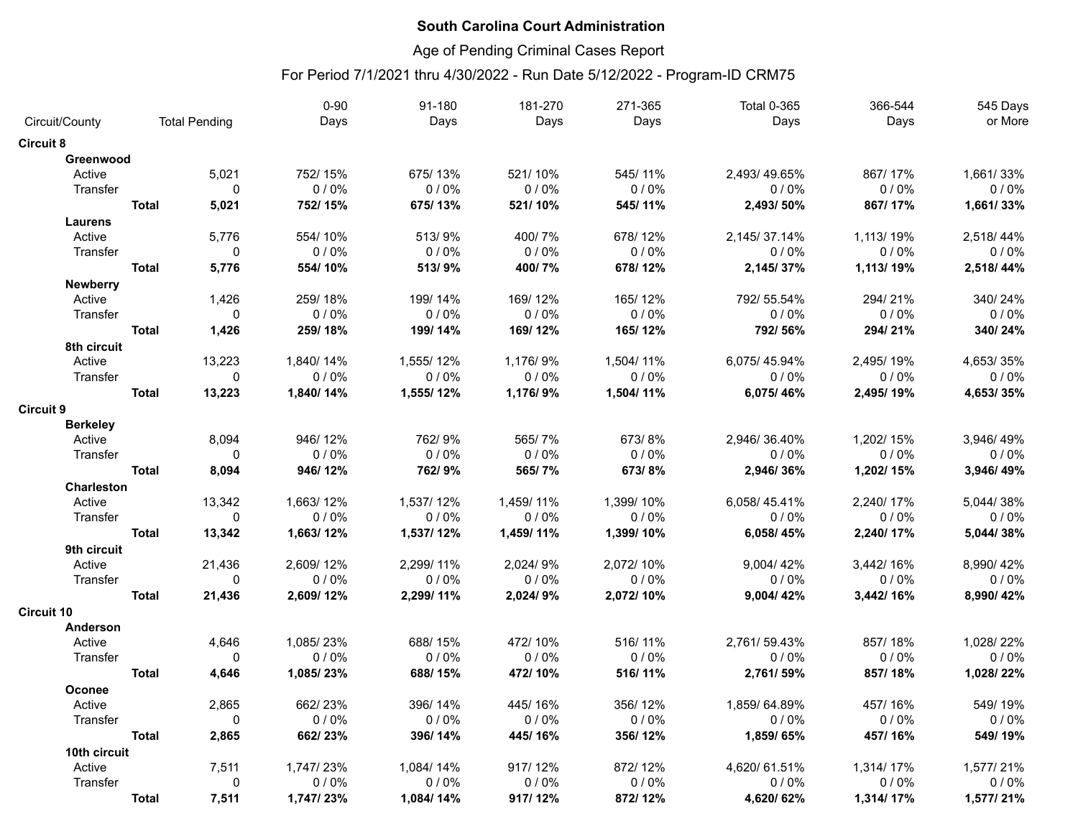# Age of Pending Criminal Cases Report

|                           |                      |              | $0 - 90$  | 91-180    | 181-270   | 271-365   | <b>Total 0-365</b> | 366-544   | 545 Days  |
|---------------------------|----------------------|--------------|-----------|-----------|-----------|-----------|--------------------|-----------|-----------|
| Circuit/County            | <b>Total Pending</b> |              | Days      | Days      | Days      | Days      | Days               | Days      | or More   |
| <b>Circuit 8</b>          |                      |              |           |           |           |           |                    |           |           |
| Greenwood                 |                      |              |           |           |           |           |                    |           |           |
| Active                    |                      | 5,021        | 752/15%   | 675/13%   | 521/10%   | 545/11%   | 2,493/49.65%       | 867/17%   | 1,661/33% |
| Transfer                  |                      | $\mathbf{0}$ | 0/0%      | 0/0%      | 0/0%      | 0/0%      | 0/0%               | 0/0%      | 0/0%      |
|                           | <b>Total</b>         | 5,021        | 752/15%   | 675/13%   | 521/10%   | 545/11%   | 2,493/50%          | 867/17%   | 1,661/33% |
| Laurens                   |                      |              |           |           |           |           |                    |           |           |
| Active                    |                      | 5,776        | 554/10%   | 513/9%    | 400/7%    | 678/12%   | 2,145/37.14%       | 1,113/19% | 2,518/44% |
| Transfer                  |                      | $\mathbf 0$  | 0/0%      | 0/0%      | 0/0%      | 0/0%      | 0/0%               | 0/0%      | 0/0%      |
|                           | <b>Total</b>         | 5,776        | 554/10%   | 513/9%    | 400/7%    | 678/12%   | 2,145/37%          | 1,113/19% | 2,518/44% |
| <b>Newberry</b>           |                      |              |           |           |           |           |                    |           |           |
| Active                    |                      | 1,426        | 259/18%   | 199/14%   | 169/12%   | 165/12%   | 792/55.54%         | 294/21%   | 340/24%   |
| Transfer                  |                      | $\mathbf 0$  | 0/0%      | 0/0%      | 0/0%      | 0/0%      | 0/0%               | 0/0%      | 0/0%      |
|                           | <b>Total</b>         | 1,426        | 259/18%   | 199/14%   | 169/12%   | 165/12%   | 792/56%            | 294/21%   | 340/24%   |
| 8th circuit               |                      |              |           |           |           |           |                    |           |           |
| Active                    |                      | 13,223       | 1,840/14% | 1,555/12% | 1,176/9%  | 1,504/11% | 6,075/45.94%       | 2,495/19% | 4,653/35% |
| Transfer                  |                      | $\mathbf 0$  | 0/0%      | 0/0%      | 0/0%      | 0/0%      | 0/0%               | 0/0%      | 0/0%      |
|                           | <b>Total</b>         | 13,223       | 1,840/14% | 1,555/12% | 1,176/9%  | 1,504/11% | 6,075/46%          | 2,495/19% | 4,653/35% |
| <b>Circuit 9</b>          |                      |              |           |           |           |           |                    |           |           |
|                           |                      |              |           |           |           |           |                    |           |           |
| <b>Berkeley</b><br>Active |                      | 8.094        | 946/12%   | 762/9%    | 565/7%    | 673/8%    | 2,946/36.40%       | 1,202/15% | 3,946/49% |
| Transfer                  |                      | $\mathbf{0}$ | $0/0\%$   | 0/0%      | 0/0%      | 0/0%      | 0/0%               | 0/0%      | 0/0%      |
|                           |                      | 8,094        | 946/12%   |           | 565/7%    | 673/8%    |                    |           |           |
|                           | <b>Total</b>         |              |           | 762/9%    |           |           | 2,946/36%          | 1,202/15% | 3,946/49% |
| <b>Charleston</b>         |                      |              |           |           |           |           |                    |           |           |
| Active                    |                      | 13,342       | 1,663/12% | 1,537/12% | 1,459/11% | 1,399/10% | 6,058/45.41%       | 2,240/17% | 5,044/38% |
| Transfer                  |                      | 0            | 0/0%      | 0/0%      | 0/0%      | 0/0%      | 0/0%               | 0/0%      | 0/0%      |
|                           | <b>Total</b>         | 13,342       | 1,663/12% | 1,537/12% | 1,459/11% | 1,399/10% | 6,058/45%          | 2,240/17% | 5,044/38% |
| 9th circuit               |                      |              |           |           |           |           |                    |           |           |
| Active                    |                      | 21,436       | 2,609/12% | 2,299/11% | 2,024/9%  | 2,072/10% | 9,004/42%          | 3,442/16% | 8,990/42% |
| Transfer                  |                      | $\mathbf 0$  | $0/0\%$   | 0/0%      | 0/0%      | 0/0%      | 0/0%               | 0/0%      | 0/0%      |
|                           | <b>Total</b>         | 21,436       | 2,609/12% | 2,299/11% | 2,024/9%  | 2,072/10% | 9,004/42%          | 3,442/16% | 8,990/42% |
| <b>Circuit 10</b>         |                      |              |           |           |           |           |                    |           |           |
| Anderson                  |                      |              |           |           |           |           |                    |           |           |
| Active                    |                      | 4.646        | 1,085/23% | 688/15%   | 472/10%   | 516/11%   | 2,761/59.43%       | 857/18%   | 1.028/22% |
| Transfer                  |                      | $\mathbf{0}$ | 0/0%      | 0/0%      | 0/0%      | 0/0%      | 0/0%               | $0/0\%$   | 0/0%      |
|                           | <b>Total</b>         | 4,646        | 1,085/23% | 688/15%   | 472/10%   | 516/11%   | 2,761/59%          | 857/18%   | 1,028/22% |
| Oconee                    |                      |              |           |           |           |           |                    |           |           |
| Active                    |                      | 2,865        | 662/23%   | 396/14%   | 445/16%   | 356/12%   | 1,859/64.89%       | 457/16%   | 549/19%   |
| Transfer                  |                      | $\mathbf 0$  | 0/0%      | 0/0%      | 0/0%      | 0/0%      | 0/0%               | 0/0%      | $0/0\%$   |
|                           | <b>Total</b>         | 2,865        | 662/23%   | 396/14%   | 445/16%   | 356/12%   | 1,859/65%          | 457/16%   | 549/19%   |
| 10th circuit              |                      |              |           |           |           |           |                    |           |           |
| Active                    |                      | 7.511        | 1,747/23% | 1.084/14% | 917/12%   | 872/12%   | 4,620/61.51%       | 1.314/17% | 1,577/21% |
| Transfer                  |                      | $\mathbf 0$  | 0/0%      | 0/0%      | 0/0%      | 0/0%      | $0/0\%$            | $0/0\%$   | 0/0%      |
|                           | <b>Total</b>         | 7,511        | 1,747/23% | 1,084/14% | 917/12%   | 872/12%   | 4,620/62%          | 1,314/17% | 1,577/21% |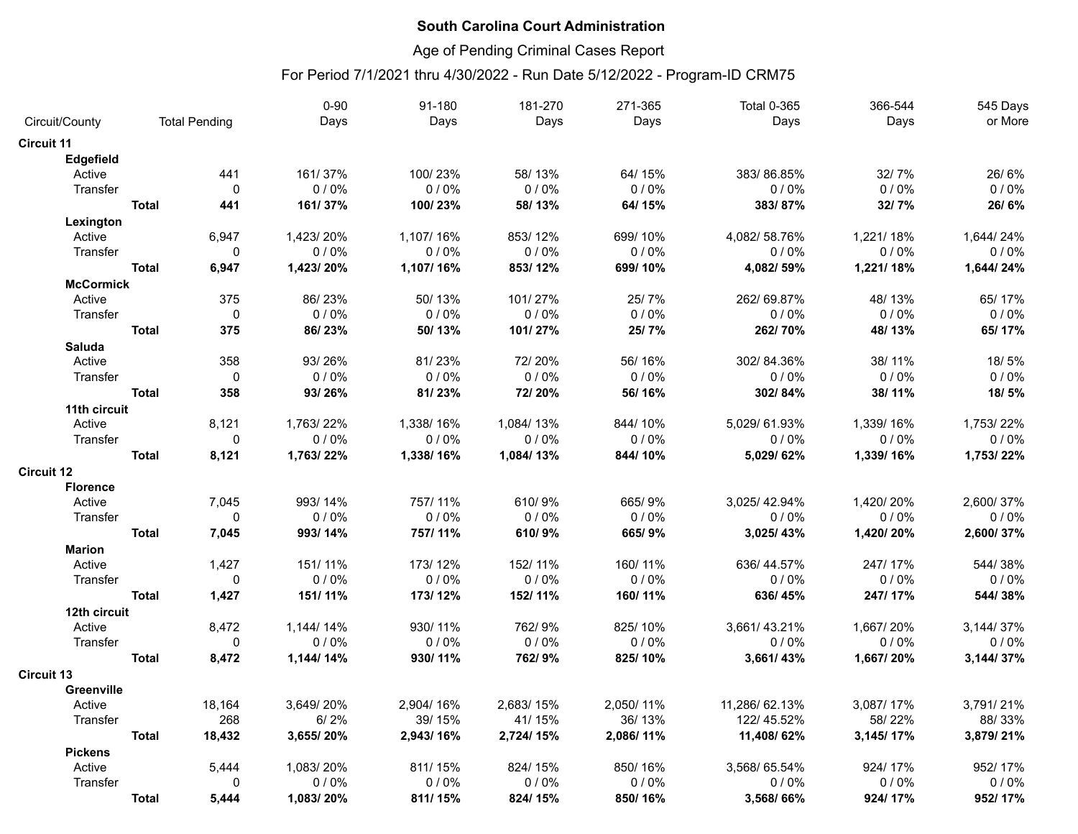# Age of Pending Criminal Cases Report

|                   |              |                      | $0 - 90$  | 91-180    | 181-270   | 271-365   | <b>Total 0-365</b> | 366-544   | 545 Days   |
|-------------------|--------------|----------------------|-----------|-----------|-----------|-----------|--------------------|-----------|------------|
| Circuit/County    |              | <b>Total Pending</b> | Days      | Days      | Days      | Days      | Days               | Days      | or More    |
| <b>Circuit 11</b> |              |                      |           |           |           |           |                    |           |            |
| Edgefield         |              |                      |           |           |           |           |                    |           |            |
| Active            |              | 441                  | 161/37%   | 100/23%   | 58/13%    | 64/15%    | 383/86.85%         | 32/7%     | 26/6%      |
| Transfer          |              | $\mathbf{0}$         | 0/0%      | 0/0%      | 0/0%      | 0/0%      | 0/0%               | 0/0%      | 0/0%       |
|                   | <b>Total</b> | 441                  | 161/37%   | 100/23%   | 58/13%    | 64/15%    | 383/87%            | 32/7%     | 26/6%      |
| Lexington         |              |                      |           |           |           |           |                    |           |            |
| Active            |              | 6,947                | 1,423/20% | 1.107/16% | 853/12%   | 699/10%   | 4.082/58.76%       | 1.221/18% | 1,644/24%  |
| Transfer          |              | 0                    | 0/0%      | 0/0%      | 0/0%      | 0/0%      | 0/0%               | 0/0%      | $0/0\%$    |
|                   | <b>Total</b> | 6,947                | 1,423/20% | 1,107/16% | 853/12%   | 699/10%   | 4,082/59%          | 1,221/18% | 1,644/24%  |
| <b>McCormick</b>  |              |                      |           |           |           |           |                    |           |            |
| Active            |              | 375                  | 86/23%    | 50/13%    | 101/27%   | 25/7%     | 262/69.87%         | 48/13%    | 65/17%     |
| Transfer          |              | 0                    | 0/0%      | 0/0%      | 0/0%      | 0/0%      | 0/0%               | 0/0%      | 0/0%       |
|                   | <b>Total</b> | 375                  | 86/23%    | 50/13%    | 101/27%   | 25/7%     | 262/70%            | 48/13%    | 65/17%     |
| Saluda            |              |                      |           |           |           |           |                    |           |            |
| Active            |              | 358                  | 93/26%    | 81/23%    | 72/20%    | 56/16%    | 302/84.36%         | 38/11%    | 18/5%      |
| Transfer          |              | $\mathbf 0$          | $0/0\%$   | 0/0%      | 0/0%      | 0/0%      | 0/0%               | 0/0%      | 0/0%       |
|                   | <b>Total</b> | 358                  | 93/26%    | 81/23%    | 72/20%    | 56/16%    | 302/84%            | 38/11%    | 18/5%      |
| 11th circuit      |              |                      |           |           |           |           |                    |           |            |
| Active            |              | 8,121                | 1,763/22% | 1,338/16% | 1,084/13% | 844/10%   | 5,029/61.93%       | 1,339/16% | 1,753/22%  |
| Transfer          |              | $\mathbf 0$          | 0/0%      | 0/0%      | 0/0%      | 0/0%      | 0/0%               | 0/0%      | 0/0%       |
|                   | <b>Total</b> | 8,121                | 1,763/22% | 1,338/16% | 1,084/13% | 844/10%   | 5,029/62%          | 1,339/16% | 1,753/22%  |
| <b>Circuit 12</b> |              |                      |           |           |           |           |                    |           |            |
| <b>Florence</b>   |              |                      |           |           |           |           |                    |           |            |
| Active            |              | 7.045                | 993/14%   | 757/11%   | 610/9%    | 665/9%    | 3,025/42.94%       | 1,420/20% | 2.600/37%  |
| Transfer          |              | $\mathbf{0}$         | 0/0%      | 0/0%      | 0/0%      | 0/0%      | 0/0%               | 0/0%      | 0/0%       |
|                   | <b>Total</b> | 7,045                | 993/14%   | 757/11%   | 610/9%    | 665/9%    | 3,025/43%          | 1,420/20% | 2,600/37%  |
| <b>Marion</b>     |              |                      |           |           |           |           |                    |           |            |
| Active            |              | 1,427                | 151/11%   | 173/12%   | 152/11%   | 160/11%   | 636/44.57%         | 247/17%   | 544/38%    |
| Transfer          |              | $\mathbf 0$          | 0/0%      | 0/0%      | 0/0%      | 0/0%      | 0/0%               | 0/0%      | 0/0%       |
|                   | <b>Total</b> | 1,427                | 151/11%   | 173/12%   | 152/11%   | 160/11%   | 636/45%            | 247/17%   | 544/38%    |
| 12th circuit      |              |                      |           |           |           |           |                    |           |            |
| Active            |              | 8,472                | 1,144/14% | 930/11%   | 762/9%    | 825/10%   | 3,661/43.21%       | 1,667/20% | 3,144/37%  |
| Transfer          |              | 0                    | 0/0%      | 0/0%      | 0/0%      | 0/0%      | 0/0%               | 0/0%      | 0/0%       |
|                   | <b>Total</b> | 8,472                | 1,144/14% | 930/11%   | 762/9%    | 825/10%   | 3,661/43%          | 1,667/20% | 3, 144/37% |
| <b>Circuit 13</b> |              |                      |           |           |           |           |                    |           |            |
| <b>Greenville</b> |              |                      |           |           |           |           |                    |           |            |
| Active            |              | 18,164               | 3,649/20% | 2,904/16% | 2,683/15% | 2,050/11% | 11,286/62.13%      | 3,087/17% | 3,791/21%  |
| Transfer          |              | 268                  | 6/2%      | 39/15%    | 41/15%    | 36/13%    | 122/45.52%         | 58/22%    | 88/33%     |
|                   | <b>Total</b> | 18,432               | 3,655/20% | 2,943/16% | 2,724/15% | 2,086/11% | 11,408/62%         | 3,145/17% | 3,879/21%  |
| <b>Pickens</b>    |              |                      |           |           |           |           |                    |           |            |
| Active            |              | 5.444                | 1,083/20% | 811/15%   | 824/15%   | 850/16%   | 3.568/65.54%       | 924/17%   | 952/17%    |
| Transfer          |              | $\mathbf{0}$         | 0/0%      | 0/0%      | 0/0%      | 0/0%      | 0/0%               | 0/0%      | 0/0%       |
|                   | <b>Total</b> | 5,444                | 1,083/20% | 811/15%   | 824/15%   | 850/16%   | 3,568/66%          | 924/17%   | 952/17%    |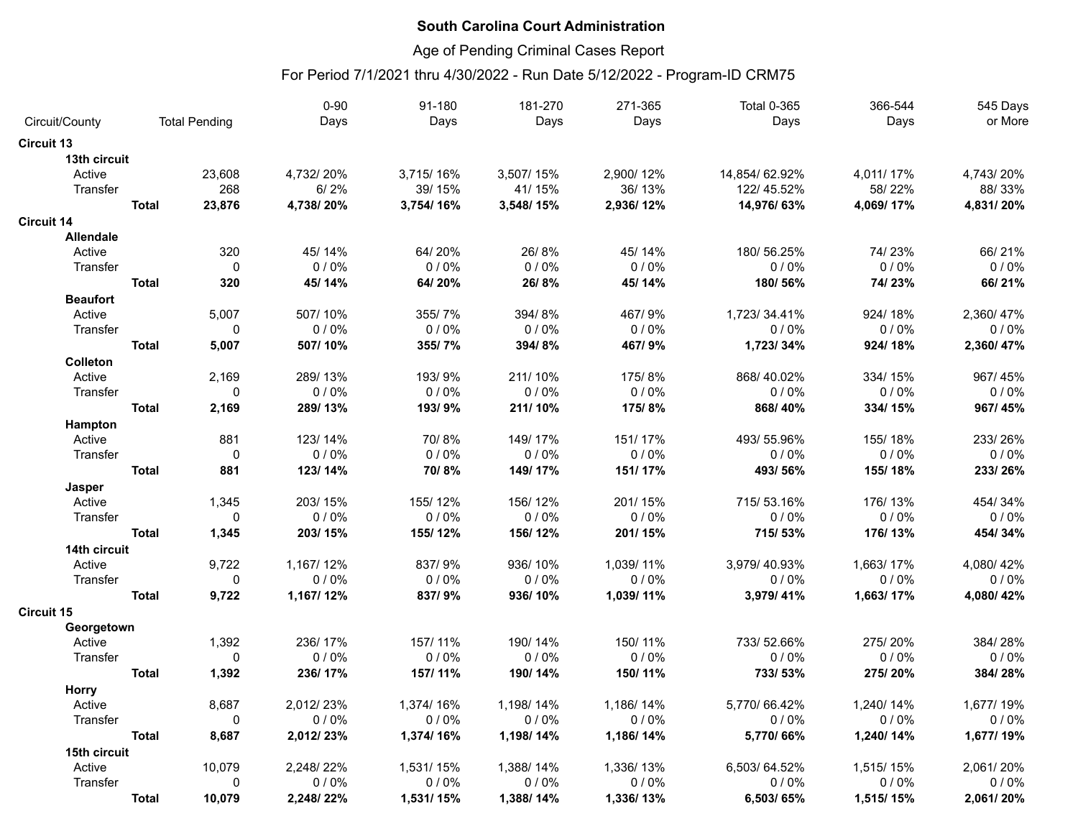# Age of Pending Criminal Cases Report

|                   |              |                      | $0 - 90$  | 91-180    | 181-270   | 271-365   | <b>Total 0-365</b> | 366-544   | 545 Days  |
|-------------------|--------------|----------------------|-----------|-----------|-----------|-----------|--------------------|-----------|-----------|
| Circuit/County    |              | <b>Total Pending</b> | Days      | Days      | Days      | Days      | Days               | Days      | or More   |
| <b>Circuit 13</b> |              |                      |           |           |           |           |                    |           |           |
| 13th circuit      |              |                      |           |           |           |           |                    |           |           |
| Active            |              | 23,608               | 4,732/20% | 3,715/16% | 3,507/15% | 2,900/12% | 14,854/62.92%      | 4,011/17% | 4,743/20% |
| Transfer          |              | 268                  | 6/2%      | 39/15%    | 41/15%    | 36/13%    | 122/45.52%         | 58/22%    | 88/33%    |
|                   | <b>Total</b> | 23,876               | 4,738/20% | 3,754/16% | 3,548/15% | 2,936/12% | 14,976/63%         | 4,069/17% | 4,831/20% |
| <b>Circuit 14</b> |              |                      |           |           |           |           |                    |           |           |
| <b>Allendale</b>  |              |                      |           |           |           |           |                    |           |           |
| Active            |              | 320                  | 45/14%    | 64/20%    | 26/8%     | 45/14%    | 180/56.25%         | 74/23%    | 66/21%    |
| Transfer          |              | $\mathbf 0$          | 0/0%      | 0/0%      | 0/0%      | 0/0%      | 0/0%               | 0/0%      | 0/0%      |
|                   | <b>Total</b> | 320                  | 45/14%    | 64/20%    | 26/8%     | 45/14%    | 180/56%            | 74/23%    | 66/21%    |
| <b>Beaufort</b>   |              |                      |           |           |           |           |                    |           |           |
| Active            |              | 5,007                | 507/10%   | 355/7%    | 394/8%    | 467/9%    | 1,723/34.41%       | 924/18%   | 2,360/47% |
| Transfer          |              | $\mathbf 0$          | 0/0%      | 0/0%      | 0/0%      | 0/0%      | 0/0%               | 0/0%      | 0/0%      |
|                   | <b>Total</b> | 5,007                | 507/10%   | 355/7%    | 394/8%    | 467/9%    | 1,723/34%          | 924/18%   | 2,360/47% |
| Colleton          |              |                      |           |           |           |           |                    |           |           |
| Active            |              | 2,169                | 289/13%   | 193/9%    | 211/10%   | 175/8%    | 868/40.02%         | 334/15%   | 967/45%   |
| Transfer          |              | $\mathbf 0$          | 0/0%      | 0/0%      | 0/0%      | 0/0%      | 0/0%               | 0/0%      | 0/0%      |
|                   | <b>Total</b> | 2,169                | 289/13%   | 193/9%    | 211/10%   | 175/8%    | 868/40%            | 334/15%   | 967/45%   |
| Hampton           |              |                      |           |           |           |           |                    |           |           |
| Active            |              | 881                  | 123/14%   | 70/8%     | 149/17%   | 151/17%   | 493/55.96%         | 155/18%   | 233/26%   |
| Transfer          |              | $\mathbf 0$          | 0/0%      | 0/0%      | 0/0%      | 0/0%      | 0/0%               | 0/0%      | 0/0%      |
|                   | <b>Total</b> | 881                  | 123/14%   | 70/8%     | 149/17%   | 151/17%   | 493/56%            | 155/18%   | 233/26%   |
| Jasper            |              |                      |           |           |           |           |                    |           |           |
| Active            |              | 1,345                | 203/15%   | 155/12%   | 156/12%   | 201/15%   | 715/53.16%         | 176/13%   | 454/34%   |
| Transfer          |              | $\mathbf 0$          | 0/0%      | 0/0%      | 0/0%      | 0/0%      | 0/0%               | 0/0%      | 0/0%      |
|                   | <b>Total</b> | 1,345                | 203/15%   | 155/12%   | 156/12%   | 201/15%   | 715/53%            | 176/13%   | 454/34%   |
| 14th circuit      |              |                      |           |           |           |           |                    |           |           |
| Active            |              | 9,722                | 1,167/12% | 837/9%    | 936/10%   | 1,039/11% | 3,979/40.93%       | 1,663/17% | 4,080/42% |
| Transfer          |              | $\mathbf 0$          | 0/0%      | 0/0%      | 0/0%      | 0/0%      | 0/0%               | 0/0%      | 0/0%      |
|                   | <b>Total</b> | 9,722                | 1,167/12% | 837/9%    | 936/10%   | 1,039/11% | 3,979/41%          | 1,663/17% | 4,080/42% |
| <b>Circuit 15</b> |              |                      |           |           |           |           |                    |           |           |
| Georgetown        |              |                      |           |           |           |           |                    |           |           |
| Active            |              | 1,392                | 236/17%   | 157/11%   | 190/14%   | 150/11%   | 733/52.66%         | 275/20%   | 384/28%   |
| Transfer          |              | $\mathbf{0}$         | 0/0%      | 0/0%      | 0/0%      | 0/0%      | 0/0%               | 0/0%      | 0/0%      |
|                   | <b>Total</b> | 1,392                | 236/17%   | 157/11%   | 190/14%   | 150/11%   | 733/53%            | 275/20%   | 384/28%   |
| <b>Horry</b>      |              |                      |           |           |           |           |                    |           |           |
| Active            |              | 8,687                | 2,012/23% | 1,374/16% | 1,198/14% | 1,186/14% | 5,770/66.42%       | 1,240/14% | 1,677/19% |
| Transfer          |              | $\mathbf 0$          | 0/0%      | 0/0%      | 0/0%      | 0/0%      | 0/0%               | 0/0%      | 0/0%      |
|                   | <b>Total</b> | 8,687                | 2,012/23% | 1,374/16% | 1,198/14% | 1,186/14% | 5,770/66%          | 1,240/14% | 1,677/19% |
| 15th circuit      |              |                      |           |           |           |           |                    |           |           |
| Active            |              | 10,079               | 2,248/22% | 1,531/15% | 1,388/14% | 1,336/13% | 6,503/64.52%       | 1,515/15% | 2,061/20% |
| Transfer          |              | 0                    | 0/0%      | 0/0%      | 0/0%      | 0/0%      | 0/0%               | 0/0%      | 0/0%      |
|                   | <b>Total</b> | 10,079               | 2,248/22% | 1,531/15% | 1,388/14% | 1,336/13% | 6,503/65%          | 1,515/15% | 2,061/20% |